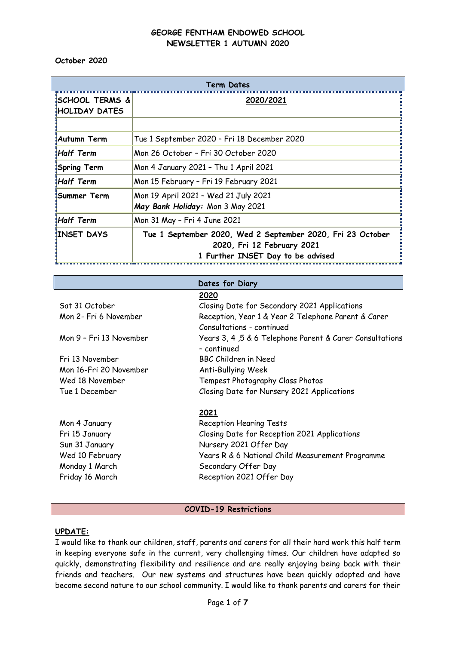**October 2020**

| Term Dates                       |                                                                                                                               |  |
|----------------------------------|-------------------------------------------------------------------------------------------------------------------------------|--|
| ISCHOOL TERMS &<br>HOLIDAY DATES | 2020/2021                                                                                                                     |  |
| Autumn Term                      | Tue 1 September 2020 - Fri 18 December 2020                                                                                   |  |
| Half Term#                       | Mon 26 October - Fri 30 October 2020                                                                                          |  |
| <b>Spring Term!</b>              | Mon 4 January 2021 - Thu 1 April 2021                                                                                         |  |
| #Half Term                       | Mon 15 February - Fri 19 February 2021                                                                                        |  |
| <b>Summer Term</b>               | Mon 19 April 2021 - Wed 21 July 2021<br>May Bank Holiday: Mon 3 May 2021                                                      |  |
| Half Term#                       | Mon 31 May - Fri 4 June 2021                                                                                                  |  |
| INSET DAYS!                      | Tue 1 September 2020, Wed 2 September 2020, Fri 23 October<br>2020, Fri 12 February 2021<br>1 Further INSET Day to be advised |  |

|                         | Dates for Diary                                          |
|-------------------------|----------------------------------------------------------|
|                         | 2020                                                     |
| Sat 31 October          | Closing Date for Secondary 2021 Applications             |
| Mon 2- Fri 6 November   | Reception, Year 1 & Year 2 Telephone Parent & Carer      |
|                         | Consultations - continued                                |
| Mon 9 - Fri 13 November | Years 3, 4, 5 & 6 Telephone Parent & Carer Consultations |
|                         | - continued                                              |
| Fri 13 November         | <b>BBC Children in Need</b>                              |
| Mon 16-Fri 20 November  | Anti-Bullying Week                                       |
| Wed 18 November         | Tempest Photography Class Photos                         |
| Tue 1 December          | Closing Date for Nursery 2021 Applications               |
|                         | 2021                                                     |
| Mon 4 January           | <b>Reception Hearing Tests</b>                           |
| Fri 15 January          | Closing Date for Reception 2021 Applications             |
| Sun 31 January          | Nursery 2021 Offer Day                                   |
| Wed 10 February         | Years R & 6 National Child Measurement Programme         |
| Monday 1 March          | Secondary Offer Day                                      |
| Friday 16 March         | Reception 2021 Offer Day                                 |

### **COVID-19 Restrictions**

# **UPDATE:**

I would like to thank our children, staff, parents and carers for all their hard work this half term in keeping everyone safe in the current, very challenging times. Our children have adapted so quickly, demonstrating flexibility and resilience and are really enjoying being back with their friends and teachers. Our new systems and structures have been quickly adopted and have become second nature to our school community. I would like to thank parents and carers for their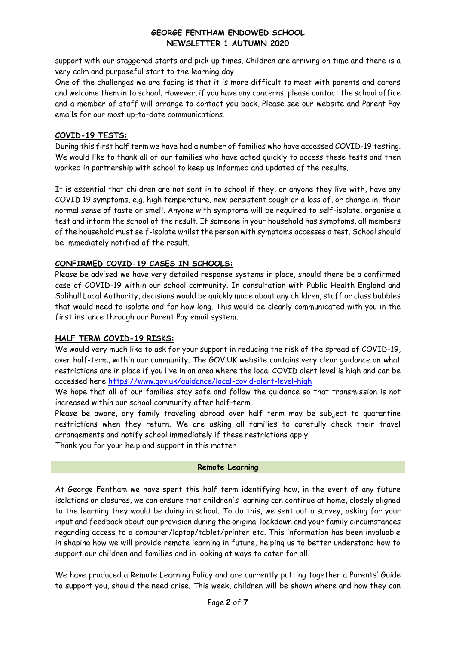support with our staggered starts and pick up times. Children are arriving on time and there is a very calm and purposeful start to the learning day.

One of the challenges we are facing is that it is more difficult to meet with parents and carers and welcome them in to school. However, if you have any concerns, please contact the school office and a member of staff will arrange to contact you back. Please see our website and Parent Pay emails for our most up-to-date communications.

# **COVID-19 TESTS:**

During this first half term we have had a number of families who have accessed COVID-19 testing. We would like to thank all of our families who have acted quickly to access these tests and then worked in partnership with school to keep us informed and updated of the results.

It is essential that children are not sent in to school if they, or anyone they live with, have any COVID 19 symptoms, e.g. high temperature, new persistent cough or a loss of, or change in, their normal sense of taste or smell. Anyone with symptoms will be required to self-isolate, organise a test and inform the school of the result. If someone in your household has symptoms, all members of the household must self-isolate whilst the person with symptoms accesses a test. School should be immediately notified of the result.

# **CONFIRMED COVID-19 CASES IN SCHOOLS:**

Please be advised we have very detailed response systems in place, should there be a confirmed case of COVID-19 within our school community. In consultation with Public Health England and Solihull Local Authority, decisions would be quickly made about any children, staff or class bubbles that would need to isolate and for how long. This would be clearly communicated with you in the first instance through our Parent Pay email system.

# **HALF TERM COVID-19 RISKS:**

We would very much like to ask for your support in reducing the risk of the spread of COVID-19, over half-term, within our community. The GOV.UK website contains very clear guidance on what restrictions are in place if you live in an area where the local COVID alert level is high and can be accessed here<https://www.gov.uk/guidance/local-covid-alert-level-high>

We hope that all of our families stay safe and follow the guidance so that transmission is not increased within our school community after half-term.

Please be aware, any family traveling abroad over half term may be subject to quarantine restrictions when they return. We are asking all families to carefully check their travel arrangements and notify school immediately if these restrictions apply.

Thank you for your help and support in this matter.

#### **Remote Learning**

At George Fentham we have spent this half term identifying how, in the event of any future isolations or closures, we can ensure that children's learning can continue at home, closely aligned to the learning they would be doing in school. To do this, we sent out a survey, asking for your input and feedback about our provision during the original lockdown and your family circumstances regarding access to a computer/laptop/tablet/printer etc. This information has been invaluable in shaping how we will provide remote learning in future, helping us to better understand how to support our children and families and in looking at ways to cater for all.

We have produced a Remote Learning Policy and are currently putting together a Parents' Guide to support you, should the need arise. This week, children will be shown where and how they can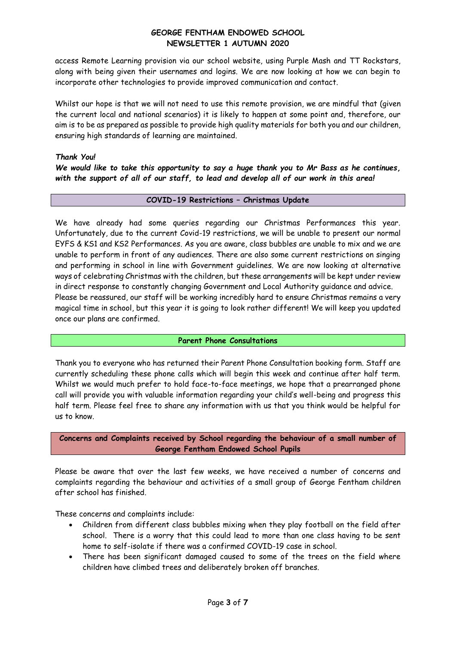access Remote Learning provision via our school website, using Purple Mash and TT Rockstars, along with being given their usernames and logins. We are now looking at how we can begin to incorporate other technologies to provide improved communication and contact.

Whilst our hope is that we will not need to use this remote provision, we are mindful that (given the current local and national scenarios) it is likely to happen at some point and, therefore, our aim is to be as prepared as possible to provide high quality materials for both you and our children, ensuring high standards of learning are maintained.

### *Thank You!*

*We would like to take this opportunity to say a huge thank you to Mr Bass as he continues, with the support of all of our staff, to lead and develop all of our work in this area!*

#### **COVID-19 Restrictions – Christmas Update**

We have already had some queries regarding our Christmas Performances this year. Unfortunately, due to the current Covid-19 restrictions, we will be unable to present our normal EYFS & KS1 and KS2 Performances. As you are aware, class bubbles are unable to mix and we are unable to perform in front of any audiences. There are also some current restrictions on singing and performing in school in line with Government guidelines. We are now looking at alternative ways of celebrating Christmas with the children, but these arrangements will be kept under review in direct response to constantly changing Government and Local Authority guidance and advice. Please be reassured, our staff will be working incredibly hard to ensure Christmas remains a very magical time in school, but this year it is going to look rather different! We will keep you updated once our plans are confirmed.

#### **Parent Phone Consultations**

Thank you to everyone who has returned their Parent Phone Consultation booking form. Staff are currently scheduling these phone calls which will begin this week and continue after half term. Whilst we would much prefer to hold face-to-face meetings, we hope that a prearranged phone call will provide you with valuable information regarding your child's well-being and progress this half term. Please feel free to share any information with us that you think would be helpful for us to know.

**Concerns and Complaints received by School regarding the behaviour of a small number of George Fentham Endowed School Pupils**

Please be aware that over the last few weeks, we have received a number of concerns and complaints regarding the behaviour and activities of a small group of George Fentham children after school has finished.

These concerns and complaints include:

- Children from different class bubbles mixing when they play football on the field after school. There is a worry that this could lead to more than one class having to be sent home to self-isolate if there was a confirmed COVID-19 case in school.
- There has been significant damaged caused to some of the trees on the field where children have climbed trees and deliberately broken off branches.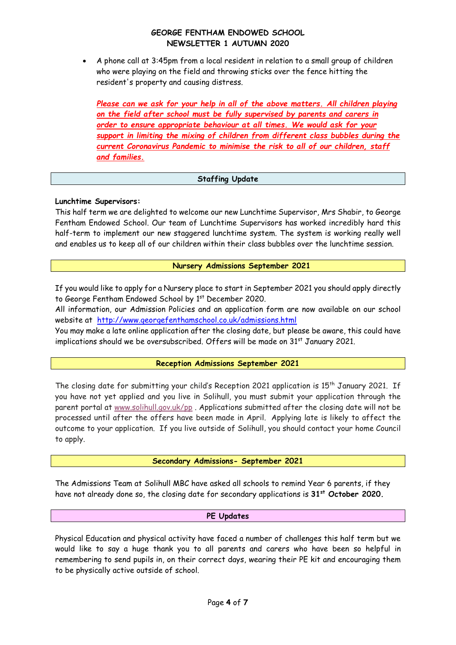A phone call at 3:45pm from a local resident in relation to a small group of children who were playing on the field and throwing sticks over the fence hitting the resident's property and causing distress.

*Please can we ask for your help in all of the above matters. All children playing on the field after school must be fully supervised by parents and carers in order to ensure appropriate behaviour at all times. We would ask for your support in limiting the mixing of children from different class bubbles during the current Coronavirus Pandemic to minimise the risk to all of our children, staff and families.* 

### **Staffing Update**

### **Lunchtime Supervisors:**

This half term we are delighted to welcome our new Lunchtime Supervisor, Mrs Shabir, to George Fentham Endowed School. Our team of Lunchtime Supervisors has worked incredibly hard this half-term to implement our new staggered lunchtime system. The system is working really well and enables us to keep all of our children within their class bubbles over the lunchtime session.

#### **Nursery Admissions September 2021**

If you would like to apply for a Nursery place to start in September 2021 you should apply directly to George Fentham Endowed School by 1<sup>st</sup> December 2020.

All information, our Admission Policies and an application form are now available on our school website at <http://www.georgefenthamschool.co.uk/admissions.html>

You may make a late online application after the closing date, but please be aware, this could have implications should we be oversubscribed. Offers will be made on 31<sup>st</sup> January 2021.

#### **Reception Admissions September 2021**

The closing date for submitting your child's Reception 2021 application is 15<sup>th</sup> January 2021. If you have not yet applied and you live in Solihull, you must submit your application through the parent portal at [www.solihull.gov.uk/pp](http://www.solihull.gov.uk/pp) . Applications submitted after the closing date will not be processed until after the offers have been made in April. Applying late is likely to affect the outcome to your application. If you live outside of Solihull, you should contact your home Council to apply.

#### **Secondary Admissions- September 2021**

The Admissions Team at Solihull MBC have asked all schools to remind Year 6 parents, if they have not already done so, the closing date for secondary applications is **31st October 2020.**

#### **PE Updates**

Physical Education and physical activity have faced a number of challenges this half term but we would like to say a huge thank you to all parents and carers who have been so helpful in remembering to send pupils in, on their correct days, wearing their PE kit and encouraging them to be physically active outside of school.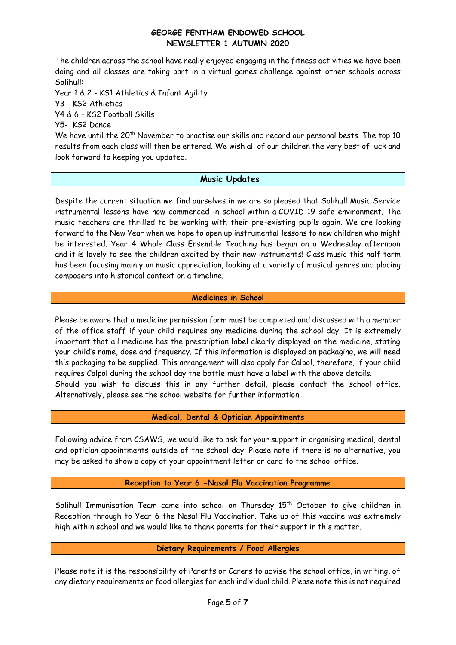The children across the school have really enjoyed engaging in the fitness activities we have been doing and all classes are taking part in a virtual games challenge against other schools across Solihull:

Year 1 & 2 - KS1 Athletics & Infant Agility Y3 - KS2 Athletics Y4 & 6 - KS2 Football Skills Y5- KS2 Dance

We have until the 20<sup>th</sup> November to practise our skills and record our personal bests. The top 10 results from each class will then be entered. We wish all of our children the very best of luck and look forward to keeping you updated.

# **Music Updates**

Despite the current situation we find ourselves in we are so pleased that Solihull Music Service instrumental lessons have now commenced in school within a COVID-19 safe environment. The music teachers are thrilled to be working with their pre-existing pupils again. We are looking forward to the New Year when we hope to open up instrumental lessons to new children who might be interested. Year 4 Whole Class Ensemble Teaching has begun on a Wednesday afternoon and it is lovely to see the children excited by their new instruments! Class music this half term has been focusing mainly on music appreciation, looking at a variety of musical genres and placing composers into historical context on a timeline.

# **Medicines in School**

Please be aware that a medicine permission form must be completed and discussed with a member of the office staff if your child requires any medicine during the school day. It is extremely important that all medicine has the prescription label clearly displayed on the medicine, stating your child's name, dose and frequency. If this information is displayed on packaging, we will need this packaging to be supplied. This arrangement will also apply for Calpol, therefore, if your child requires Calpol during the school day the bottle must have a label with the above details. Should you wish to discuss this in any further detail, please contact the school office. Alternatively, please see the school website for further information.

#### **Medical, Dental & Optician Appointments**

Following advice from CSAWS, we would like to ask for your support in organising medical, dental and optician appointments outside of the school day. Please note if there is no alternative, you may be asked to show a copy of your appointment letter or card to the school office.

#### **Reception to Year 6 -Nasal Flu Vaccination Programme**

Solihull Immunisation Team came into school on Thursday 15<sup>th</sup> October to give children in Reception through to Year 6 the Nasal Flu Vaccination. Take up of this vaccine was extremely high within school and we would like to thank parents for their support in this matter.

### **Dietary Requirements / Food Allergies**

Please note it is the responsibility of Parents or Carers to advise the school office, in writing, of any dietary requirements or food allergies for each individual child. Please note this is not required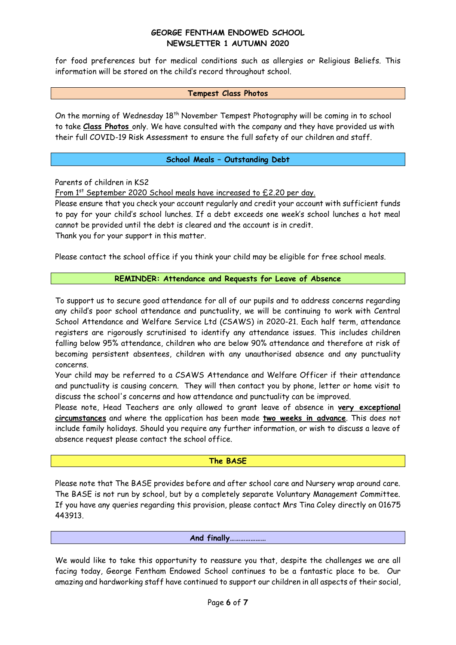for food preferences but for medical conditions such as allergies or Religious Beliefs. This information will be stored on the child's record throughout school.

### **Tempest Class Photos**

On the morning of Wednesday 18<sup>th</sup> November Tempest Photography will be coming in to school to take **Class Photos** only. We have consulted with the company and they have provided us with their full COVID-19 Risk Assessment to ensure the full safety of our children and staff.

### **School Meals – Outstanding Debt**

Parents of children in KS2

From 1st September 2020 School meals have increased to £2.20 per day.

Please ensure that you check your account regularly and credit your account with sufficient funds to pay for your child's school lunches. If a debt exceeds one week's school lunches a hot meal cannot be provided until the debt is cleared and the account is in credit. Thank you for your support in this matter.

Please contact the school office if you think your child may be eligible for free school meals.

### **REMINDER: Attendance and Requests for Leave of Absence**

To support us to secure good attendance for all of our pupils and to address concerns regarding any child's poor school attendance and punctuality, we will be continuing to work with Central School Attendance and Welfare Service Ltd (CSAWS) in 2020-21. Each half term, attendance registers are rigorously scrutinised to identify any attendance issues. This includes children falling below 95% attendance, children who are below 90% attendance and therefore at risk of becoming persistent absentees, children with any unauthorised absence and any punctuality concerns.

Your child may be referred to a CSAWS Attendance and Welfare Officer if their attendance and punctuality is causing concern. They will then contact you by phone, letter or home visit to discuss the school's concerns and how attendance and punctuality can be improved.

Please note, Head Teachers are only allowed to grant leave of absence in **very exceptional circumstances** and where the application has been made **two weeks in advance**. This does not include family holidays. Should you require any further information, or wish to discuss a leave of absence request please contact the school office.

# **The BASE**

Please note that The BASE provides before and after school care and Nursery wrap around care. The BASE is not run by school, but by a completely separate Voluntary Management Committee. If you have any queries regarding this provision, please contact Mrs Tina Coley directly on 01675 443913.

#### **And finally…………………**

We would like to take this opportunity to reassure you that, despite the challenges we are all facing today, George Fentham Endowed School continues to be a fantastic place to be. Our amazing and hardworking staff have continued to support our children in all aspects of their social,